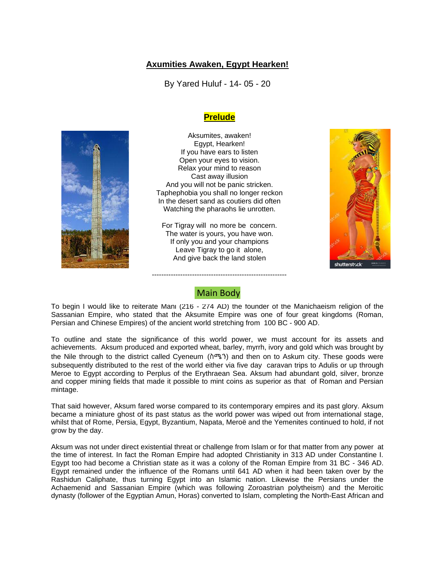## **Axumities Awaken, Egypt Hearken!**

By Yared Huluf - 14- 05 - 20

## **Prelude**



Aksumites, awaken! Egypt, Hearken! If you have ears to listen Open your eyes to vision. Relax your mind to reason Cast away illusion And you will not be panic stricken. Taphephobia you shall no longer reckon In the desert sand as coutiers did often Watching the pharaohs lie unrotten.

For Tigray will no more be concern. The water is yours, you have won. If only you and your champions Leave Tigray to go it alone, And give back the land stolen



# Main Body

---------------------------------------------------------

To begin I would like to reiterate Mani (216 - 274 AD) the founder of the Manichaeism religion of the Sassanian Empire, who stated that the Aksumite Empire was one of four great kingdoms (Roman, Persian and Chinese Empires) of the ancient world stretching from 100 BC - 900 AD.

To outline and state the significance of this world power, we must account for its assets and achievements. Aksum produced and exported wheat, barley, myrrh, ivory and gold which was brought by the Nile through to the district called Cyeneum (ስሜን) and then on to Askum city. These goods were subsequently distributed to the rest of the world either via five day caravan trips to Adulis or up through Meroe to Egypt according to Perplus of the Erythraean Sea. Aksum had abundant gold, silver, bronze and copper mining fields that made it possible to mint coins as superior as that of Roman and Persian mintage.

That said however, Aksum fared worse compared to its contemporary empires and its past glory. Aksum became a miniature ghost of its past status as the world power was wiped out from international stage, whilst that of Rome, Persia, Egypt, Byzantium, Napata, Meroë and the Yemenites continued to hold, if not grow by the day.

Aksum was not under direct existential threat or challenge from Islam or for that matter from any power at the time of interest. In fact the Roman Empire had adopted Christianity in 313 AD under Constantine I. Egypt too had become a Christian state as it was a colony of the Roman Empire from 31 BC - 346 AD. Egypt remained under the influence of the Romans until 641 AD when it had been taken over by the Rashidun Caliphate, thus turning Egypt into an Islamic nation. Likewise the Persians under the Achaemenid and Sassanian Empire (which was following Zoroastrian polytheism) and the Meroitic dynasty (follower of the Egyptian Amun, Horas) converted to Islam, completing the North-East African and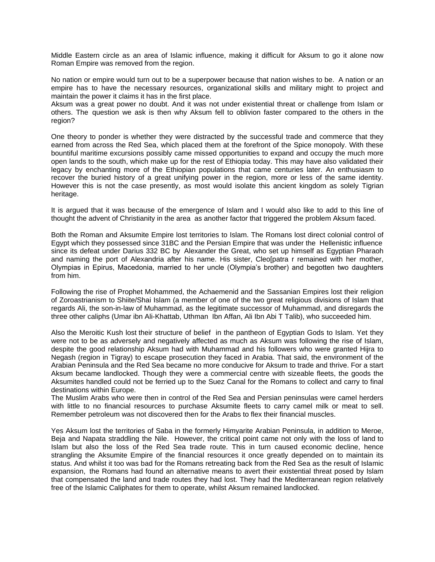Middle Eastern circle as an area of Islamic influence, making it difficult for Aksum to go it alone now Roman Empire was removed from the region.

No nation or empire would turn out to be a superpower because that nation wishes to be. A nation or an empire has to have the necessary resources, organizational skills and military might to project and maintain the power it claims it has in the first place.

Aksum was a great power no doubt. And it was not under existential threat or challenge from Islam or others. The question we ask is then why Aksum fell to oblivion faster compared to the others in the region?

One theory to ponder is whether they were distracted by the successful trade and commerce that they earned from across the Red Sea, which placed them at the forefront of the Spice monopoly. With these bountiful maritime excursions possibly came missed opportunities to expand and occupy the much more open lands to the south, which make up for the rest of Ethiopia today. This may have also validated their legacy by enchanting more of the Ethiopian populations that came centuries later. An enthusiasm to recover the buried history of a great unifying power in the region, more or less of the same identity. However this is not the case presently, as most would isolate this ancient kingdom as solely Tigrian heritage.

It is argued that it was because of the emergence of Islam and I would also like to add to this line of thought the advent of Christianity in the area as another factor that triggered the problem Aksum faced.

Both the Roman and Aksumite Empire lost territories to Islam. The Romans lost direct colonial control of Egypt which they possessed since 31BC and the Persian Empire that was under the Hellenistic influence since its defeat under Darius 332 BC by Alexander the Great, who set up himself as Egyptian Pharaoh and naming the port of Alexandria after his name. His sister, Cleo[patra r remained with her mother, Olympias in Epirus, Macedonia, married to her uncle (Olympia's brother) and begotten two daughters from him.

Following the rise of Prophet Mohammed, the Achaemenid and the Sassanian Empires lost their religion of Zoroastrianism to Shiite/Shai Islam (a member of one of the two great religious divisions of Islam that regards Ali, the son-in-law of Muhammad, as the legitimate successor of Muhammad, and disregards the three other caliphs (Umar ibn Ali-Khattab, Uthman Ibn Affan, Ali Ibn Abi T Talib), who succeeded him.

Also the Meroitic Kush lost their structure of belief in the pantheon of Egyptian Gods to Islam. Yet they were not to be as adversely and negatively affected as much as Aksum was following the rise of Islam, despite the good relationship Aksum had with Muhammad and his followers who were granted Hijra to Negash (region in Tigray) to escape prosecution they faced in Arabia. That said, the environment of the Arabian Peninsula and the Red Sea became no more conducive for Aksum to trade and thrive. For a start Aksum became landlocked. Though they were a commercial centre with sizeable fleets, the goods the Aksumites handled could not be ferried up to the Suez Canal for the Romans to collect and carry to final destinations within Europe.

The Muslim Arabs who were then in control of the Red Sea and Persian peninsulas were camel herders with little to no financial resources to purchase Aksumite fleets to carry camel milk or meat to sell. Remember petroleum was not discovered then for the Arabs to flex their financial muscles.

Yes Aksum lost the territories of Saba in the formerly Himyarite Arabian Peninsula, in addition to Meroe, Beja and Napata straddling the Nile. However, the critical point came not only with the loss of land to Islam but also the loss of the Red Sea trade route. This in turn caused economic decline, hence strangling the Aksumite Empire of the financial resources it once greatly depended on to maintain its status. And whilst it too was bad for the Romans retreating back from the Red Sea as the result of Islamic expansion, the Romans had found an alternative means to avert their existential threat posed by Islam that compensated the land and trade routes they had lost. They had the Mediterranean region relatively free of the Islamic Caliphates for them to operate, whilst Aksum remained landlocked.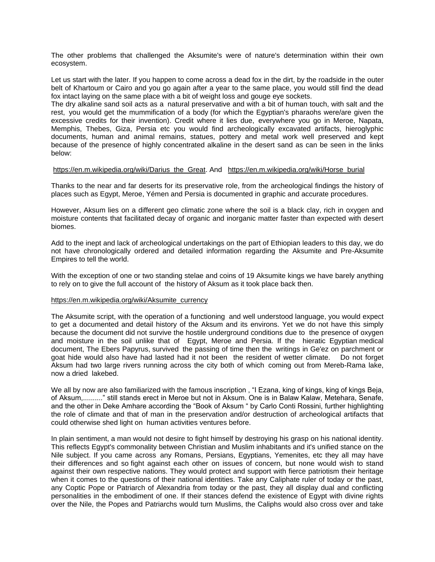The other problems that challenged the Aksumite's were of nature's determination within their own ecosystem.

Let us start with the later. If you happen to come across a dead fox in the dirt, by the roadside in the outer belt of Khartoum or Cairo and you go again after a year to the same place, you would still find the dead fox intact laying on the same place with a bit of weight loss and gouge eye sockets.

The dry alkaline sand soil acts as a natural preservative and with a bit of human touch, with salt and the rest, you would get the mummification of a body (for which the Egyptian's pharaohs were/are given the excessive credits for their invention). Credit where it lies due, everywhere you go in Meroe, Napata, Memphis, Thebes, Giza, Persia etc you would find archeologically excavated artifacts, hieroglyphic documents, human and animal remains, statues, pottery and metal work well preserved and kept because of the presence of highly concentrated alkaline in the desert sand as can be seen in the links below:

#### https://en.m.wikipedia.org/wiki/Darius the Great. And https://en.m.wikipedia.org/wiki/Horse burial

Thanks to the near and far deserts for its preservative role, from the archeological findings the history of places such as Egypt, Meroe, Yémen and Persia is documented in graphic and accurate procedures.

However, Aksum lies on a different geo climatic zone where the soil is a black clay, rich in oxygen and moisture contents that facilitated decay of organic and inorganic matter faster than expected with desert biomes.

Add to the inept and lack of archeological undertakings on the part of Ethiopian leaders to this day, we do not have chronologically ordered and detailed information regarding the Aksumite and Pre-Aksumite Empires to tell the world.

With the exception of one or two standing stelae and coins of 19 Aksumite kings we have barely anything to rely on to give the full account of the history of Aksum as it took place back then.

#### [https://en.m.wikipedia.org/wiki/Aksumite\\_currency](https://en.m.wikipedia.org/wiki/Aksumite_currency)

The Aksumite script, with the operation of a functioning and well understood language, you would expect to get a documented and detail history of the Aksum and its environs. Yet we do not have this simply because the document did not survive the hostile underground conditions due to the presence of oxygen and moisture in the soil unlike that of Egypt, Meroe and Persia. If the hieratic Egyptian medical document, The Ebers Papyrus, survived the passing of time then the writings in Ge'ez on parchment or goat hide would also have had lasted had it not been the resident of wetter climate. Do not forget Aksum had two large rivers running across the city both of which coming out from Mereb-Rama lake, now a dried lakebed.

We all by now are also familiarized with the famous inscription , "I Ezana, king of kings, king of kings Beja, of Aksum,.........." still stands erect in Meroe but not in Aksum. One is in Balaw Kalaw, Metehara, Senafe, and the other in Deke Amhare according the "Book of Aksum " by Carlo Conti Rossini, further highlighting the role of climate and that of man in the preservation and/or destruction of archeological artifacts that could otherwise shed light on human activities ventures before.

In plain sentiment, a man would not desire to fight himself by destroying his grasp on his national identity. This reflects Egypt's commonality between Christian and Muslim inhabitants and it's unified stance on the Nile subject. If you came across any Romans, Persians, Egyptians, Yemenites, etc they all may have their differences and so fight against each other on issues of concern, but none would wish to stand against their own respective nations. They would protect and support with fierce patriotism their heritage when it comes to the questions of their national identities. Take any Caliphate ruler of today or the past, any Coptic Pope or Patriarch of Alexandria from today or the past, they all display dual and conflicting personalities in the embodiment of one. If their stances defend the existence of Egypt with divine rights over the Nile, the Popes and Patriarchs would turn Muslims, the Caliphs would also cross over and take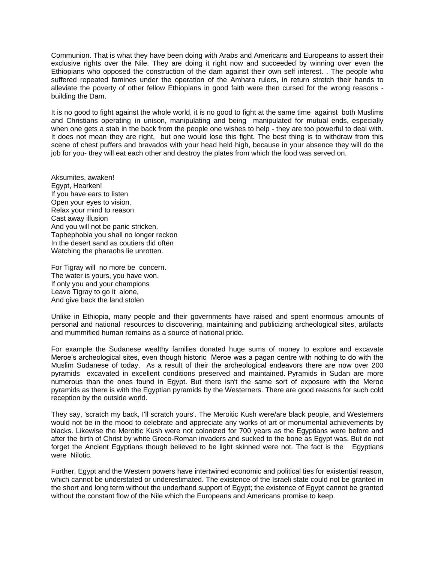Communion. That is what they have been doing with Arabs and Americans and Europeans to assert their exclusive rights over the Nile. They are doing it right now and succeeded by winning over even the Ethiopians who opposed the construction of the dam against their own self interest. . The people who suffered repeated famines under the operation of the Amhara rulers, in return stretch their hands to alleviate the poverty of other fellow Ethiopians in good faith were then cursed for the wrong reasons building the Dam.

It is no good to fight against the whole world, it is no good to fight at the same time against both Muslims and Christians operating in unison, manipulating and being manipulated for mutual ends, especially when one gets a stab in the back from the people one wishes to help - they are too powerful to deal with. It does not mean they are right, but one would lose this fight. The best thing is to withdraw from this scene of chest puffers and bravados with your head held high, because in your absence they will do the job for you- they will eat each other and destroy the plates from which the food was served on.

Aksumites, awaken! Egypt, Hearken! If you have ears to listen Open your eyes to vision. Relax your mind to reason Cast away illusion And you will not be panic stricken. Taphephobia you shall no longer reckon In the desert sand as coutiers did often Watching the pharaohs lie unrotten.

For Tigray will no more be concern. The water is yours, you have won. If only you and your champions Leave Tigray to go it alone, And give back the land stolen

Unlike in Ethiopia, many people and their governments have raised and spent enormous amounts of personal and national resources to discovering, maintaining and publicizing archeological sites, artifacts and mummified human remains as a source of national pride.

For example the Sudanese wealthy families donated huge sums of money to explore and excavate Meroe's archeological sites, even though historic Meroe was a pagan centre with nothing to do with the Muslim Sudanese of today. As a result of their the archeological endeavors there are now over 200 pyramids excavated in excellent conditions preserved and maintained. Pyramids in Sudan are more numerous than the ones found in Egypt. But there isn't the same sort of exposure with the Meroe pyramids as there is with the Egyptian pyramids by the Westerners. There are good reasons for such cold reception by the outside world.

They say, 'scratch my back, I'll scratch yours'. The Meroitic Kush were/are black people, and Westerners would not be in the mood to celebrate and appreciate any works of art or monumental achievements by blacks. Likewise the Meroitic Kush were not colonized for 700 years as the Egyptians were before and after the birth of Christ by white Greco-Roman invaders and sucked to the bone as Egypt was. But do not forget the Ancient Egyptians though believed to be light skinned were not. The fact is the Egyptians were Nilotic.

Further, Egypt and the Western powers have intertwined economic and political ties for existential reason, which cannot be understated or underestimated. The existence of the Israeli state could not be granted in the short and long term without the underhand support of Egypt; the existence of Egypt cannot be granted without the constant flow of the Nile which the Europeans and Americans promise to keep.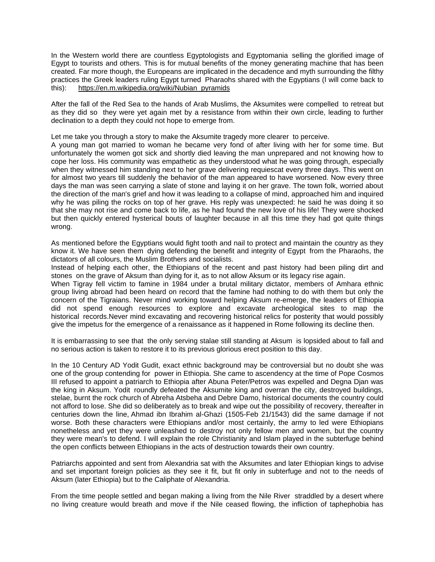In the Western world there are countless Egyptologists and Egyptomania selling the glorified image of Egypt to tourists and others. This is for mutual benefits of the money generating machine that has been created. Far more though, the Europeans are implicated in the decadence and myth surrounding the filthy practices the Greek leaders ruling Egypt turned Pharaohs shared with the Egyptians (I will come back to this): [https://en.m.wikipedia.org/wiki/Nubian\\_pyramids](https://en.m.wikipedia.org/wiki/Nubian_pyramids)

After the fall of the Red Sea to the hands of Arab Muslims, the Aksumites were compelled to retreat but as they did so they were yet again met by a resistance from within their own circle, leading to further declination to a depth they could not hope to emerge from.

Let me take you through a story to make the Aksumite tragedy more clearer to perceive.

A young man got married to woman he became very fond of after living with her for some time. But unfortunately the women got sick and shortly died leaving the man unprepared and not knowing how to cope her loss. His community was empathetic as they understood what he was going through, especially when they witnessed him standing next to her grave delivering requiescat every three days. This went on for almost two years till suddenly the behavior of the man appeared to have worsened. Now every three days the man was seen carrying a slate of stone and laying it on her grave. The town folk, worried about the direction of the man's grief and how it was leading to a collapse of mind, approached him and inquired why he was piling the rocks on top of her grave. His reply was unexpected: he said he was doing it so that she may not rise and come back to life, as he had found the new love of his life! They were shocked but then quickly entered hysterical bouts of laughter because in all this time they had got quite things wrong.

As mentioned before the Egyptians would fight tooth and nail to protect and maintain the country as they know it. We have seen them dying defending the benefit and integrity of Egypt from the Pharaohs, the dictators of all colours, the Muslim Brothers and socialists.

Instead of helping each other, the Ethiopians of the recent and past history had been piling dirt and stones on the grave of Aksum than dying for it, as to not allow Aksum or its legacy rise again.

When Tigray fell victim to famine in 1984 under a brutal military dictator, members of Amhara ethnic group living abroad had been heard on record that the famine had nothing to do with them but only the concern of the Tigraians. Never mind working toward helping Aksum re-emerge, the leaders of Ethiopia did not spend enough resources to explore and excavate archeological sites to map the historical records.Never mind excavating and recovering historical relics for posterity that would possibly give the impetus for the emergence of a renaissance as it happened in Rome following its decline then.

It is embarrassing to see that the only serving stalae still standing at Aksum is lopsided about to fall and no serious action is taken to restore it to its previous glorious erect position to this day.

In the 10 Century AD Yodit Gudit, exact ethnic background may be controversial but no doubt she was one of the group contending for power in Ethiopia. She came to ascendency at the time of Pope Cosmos III refused to appoint a patriarch to Ethiopia after Abuna Peter/Petros was expelled and Degna Djan was the king in Aksum. Yodit roundly defeated the Aksumite king and overran the city, destroyed buildings, stelae, burnt the rock church of Abreha Atsbeha and Debre Damo, historical documents the country could not afford to lose. She did so deliberately as to break and wipe out the possibility of recovery, thereafter in centuries down the line, Ahmad ibn Ibrahim al-Ghazi (1505-Feb 21/1543) did the same damage if not worse. Both these characters were Ethiopians and/or most certainly, the army to led were Ethiopians nonetheless and yet they were unleashed to destroy not only fellow men and women, but the country they were mean's to defend. I will explain the role Christianity and Islam played in the subterfuge behind the open conflicts between Ethiopians in the acts of destruction towards their own country.

Patriarchs appointed and sent from Alexandria sat with the Aksumites and later Ethiopian kings to advise and set important foreign policies as they see it fit, but fit only in subterfuge and not to the needs of Aksum (later Ethiopia) but to the Caliphate of Alexandria.

From the time people settled and began making a living from the Nile River straddled by a desert where no living creature would breath and move if the Nile ceased flowing, the infliction of taphephobia has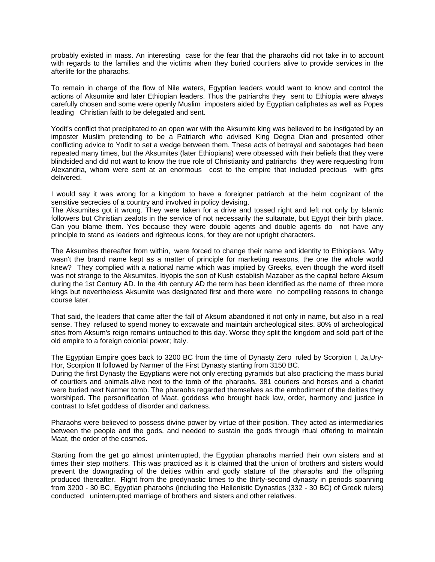probably existed in mass. An interesting case for the fear that the pharaohs did not take in to account with regards to the families and the victims when they buried courtiers alive to provide services in the afterlife for the pharaohs.

To remain in charge of the flow of Nile waters, Egyptian leaders would want to know and control the actions of Aksumite and later Ethiopian leaders. Thus the patriarchs they sent to Ethiopia were always carefully chosen and some were openly Muslim imposters aided by Egyptian caliphates as well as Popes leading Christian faith to be delegated and sent.

Yodit's conflict that precipitated to an open war with the Aksumite king was believed to be instigated by an imposter Muslim pretending to be a Patriarch who advised King Degna Dian and presented other conflicting advice to Yodit to set a wedge between them. These acts of betrayal and sabotages had been repeated many times, but the Aksumites (later Ethiopians) were obsessed with their beliefs that they were blindsided and did not want to know the true role of Christianity and patriarchs they were requesting from Alexandria, whom were sent at an enormous cost to the empire that included precious with gifts delivered.

I would say it was wrong for a kingdom to have a foreigner patriarch at the helm cognizant of the sensitive secrecies of a country and involved in policy devising.

The Aksumites got it wrong. They were taken for a drive and tossed right and left not only by Islamic followers but Christian zealots in the service of not necessarily the sultanate, but Egypt their birth place. Can you blame them. Yes because they were double agents and double agents do not have any principle to stand as leaders and righteous icons, for they are not upright characters.

The Aksumites thereafter from within, were forced to change their name and identity to Ethiopians. Why wasn't the brand name kept as a matter of principle for marketing reasons, the one the whole world knew? They complied with a national name which was implied by Greeks, even though the word itself was not strange to the Aksumites. Itiyopis the son of Kush establish Mazaber as the capital before Aksum during the 1st Century AD. In the 4th century AD the term has been identified as the name of three more kings but nevertheless Aksumite was designated first and there were no compelling reasons to change course later.

That said, the leaders that came after the fall of Aksum abandoned it not only in name, but also in a real sense. They refused to spend money to excavate and maintain archeological sites. 80% of archeological sites from Aksum's reign remains untouched to this day. Worse they split the kingdom and sold part of the old empire to a foreign colonial power; Italy.

The Egyptian Empire goes back to 3200 BC from the time of Dynasty Zero ruled by Scorpion I, Ja,Ury-Hor, Scorpion II followed by Narmer of the First Dynasty starting from 3150 BC.

During the first Dynasty the Egyptians were not only erecting pyramids but also practicing the mass burial of courtiers and animals alive next to the tomb of the pharaohs. 381 couriers and horses and a chariot were buried next Narmer tomb. The pharaohs regarded themselves as the embodiment of the deities they worshiped. The personification of Maat, goddess who brought back law, order, harmony and justice in contrast to Isfet goddess of disorder and darkness.

Pharaohs were believed to possess divine power by virtue of their position. They acted as intermediaries between the people and the gods, and needed to sustain the gods through ritual offering to maintain Maat, the order of the cosmos.

Starting from the get go almost uninterrupted, the Egyptian pharaohs married their own sisters and at times their step mothers. This was practiced as it is claimed that the union of brothers and sisters would prevent the downgrading of the deities within and godly stature of the pharaohs and the offspring produced thereafter. Right from the predynastic times to the thirty-second dynasty in periods spanning from 3200 - 30 BC, Egyptian pharaohs (including the Hellenistic Dynasties (332 - 30 BC) of Greek rulers) conducted uninterrupted marriage of brothers and sisters and other relatives.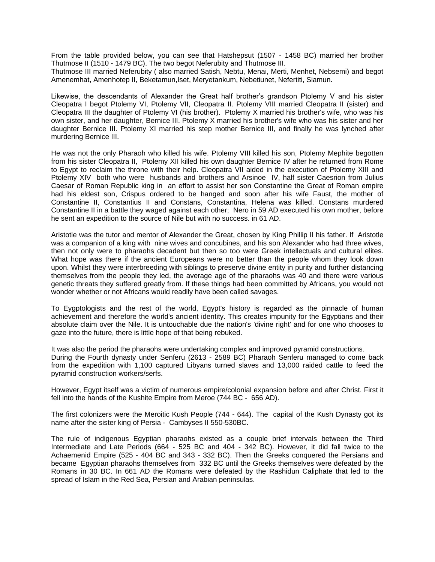From the table provided below, you can see that Hatshepsut (1507 - 1458 BC) married her brother Thutmose II (1510 - 1479 BC). The two begot Neferubity and Thutmose III.

Thutmose III married Neferubity ( also married Satish, Nebtu, Menai, Merti, Menhet, Nebsemi) and begot Amenemhat, Amenhotep II, Beketamun,Iset, Meryetankum, Nebetiunet, Nefertiti, Siamun.

Likewise, the descendants of Alexander the Great half brother's grandson Ptolemy V and his sister Cleopatra I begot Ptolemy VI, Ptolemy VII, Cleopatra II. Ptolemy VIII married Cleopatra II (sister) and Cleopatra III the daughter of Ptolemy VI (his brother). Ptolemy X married his brother's wife, who was his own sister, and her daughter, Bernice III. Ptolemy X married his brother's wife who was his sister and her daughter Bernice III. Ptolemy XI married his step mother Bernice III, and finally he was lynched after murdering Bernice III.

He was not the only Pharaoh who killed his wife. Ptolemy VIII killed his son, Ptolemy Mephite begotten from his sister Cleopatra II, Ptolemy XII killed his own daughter Bernice IV after he returned from Rome to Egypt to reclaim the throne with their help. Cleopatra VII aided in the execution of Ptolemy XIII and Ptolemy XIV both who were husbands and brothers and Arsinoe IV, half sister Caesrion from Julius Caesar of Roman Republic king in an effort to assist her son Constantine the Great of Roman empire had his eldest son, Crispus ordered to be hanged and soon after his wife Faust, the mother of Constantine II, Constantius II and Constans, Constantina, Helena was killed. Constans murdered Constantine II in a battle they waged against each other; Nero in 59 AD executed his own mother, before he sent an expedition to the source of Nile but with no success. in 61 AD.

Aristotle was the tutor and mentor of Alexander the Great, chosen by King Phillip II his father. If Aristotle was a companion of a king with nine wives and concubines, and his son Alexander who had three wives, then not only were to pharaohs decadent but then so too were Greek intellectuals and cultural elites. What hope was there if the ancient Europeans were no better than the people whom they look down upon. Whilst they were interbreeding with siblings to preserve divine entity in purity and further distancing themselves from the people they led, the average age of the pharaohs was 40 and there were various genetic threats they suffered greatly from. If these things had been committed by Africans, you would not wonder whether or not Africans would readily have been called savages.

To Eygptologists and the rest of the world, Egypt's history is regarded as the pinnacle of human achievement and therefore the world's ancient identity. This creates impunity for the Egyptians and their absolute claim over the Nile. It is untouchable due the nation's 'divine right' and for one who chooses to gaze into the future, there is little hope of that being rebuked.

It was also the period the pharaohs were undertaking complex and improved pyramid constructions. During the Fourth dynasty under Senferu (2613 - 2589 BC) Pharaoh Senferu managed to come back from the expedition with 1,100 captured Libyans turned slaves and 13,000 raided cattle to feed the pyramid construction workers/serfs.

However, Egypt itself was a victim of numerous empire/colonial expansion before and after Christ. First it fell into the hands of the Kushite Empire from Meroe (744 BC - 656 AD).

The first colonizers were the Meroitic Kush People (744 - 644). The capital of the Kush Dynasty got its name after the sister king of Persia - Cambyses II 550-530BC.

The rule of indigenous Egyptian pharaohs existed as a couple brief intervals between the Third Intermediate and Late Periods (664 - 525 BC and 404 - 342 BC). However, it did fall twice to the Achaemenid Empire (525 - 404 BC and 343 - 332 BC). Then the Greeks conquered the Persians and became Egyptian pharaohs themselves from 332 BC until the Greeks themselves were defeated by the Romans in 30 BC. In 661 AD the Romans were defeated by the Rashidun Caliphate that led to the spread of Islam in the Red Sea, Persian and Arabian peninsulas.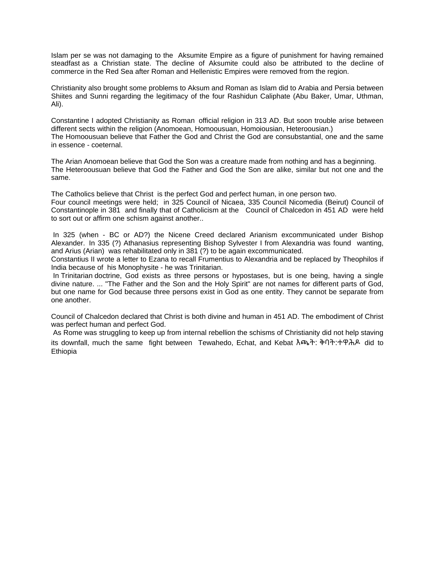Islam per se was not damaging to the Aksumite Empire as a figure of punishment for having remained steadfast as a Christian state. The decline of Aksumite could also be attributed to the decline of commerce in the Red Sea after Roman and Hellenistic Empires were removed from the region.

Christianity also brought some problems to Aksum and Roman as Islam did to Arabia and Persia between Shiites and Sunni regarding the legitimacy of the four Rashidun Caliphate (Abu Baker, Umar, Uthman, Ali).

Constantine I adopted Christianity as Roman official religion in 313 AD. But soon trouble arise between different sects within the religion (Anomoean, Homoousuan, Homoiousian, Heteroousian.) The Homoousuan believe that Father the God and Christ the God are consubstantial, one and the same in essence - coeternal.

The Arian Anomoean believe that God the Son was a creature made from nothing and has a beginning. The Heteroousuan believe that God the Father and God the Son are alike, similar but not one and the same.

The Catholics believe that Christ is the perfect God and perfect human, in one person two. Four council meetings were held; in 325 Council of Nicaea, 335 Council Nicomedia (Beirut) Council of Constantinople in 381 and finally that of Catholicism at the Council of Chalcedon in 451 AD were held to sort out or affirm one schism against another..

In 325 (when - BC or AD?) the Nicene Creed declared Arianism excommunicated under Bishop Alexander. In 335 (?) Athanasius representing Bishop Sylvester I from Alexandria was found wanting, and Arius (Arian) was rehabilitated only in 381 (?) to be again excommunicated.

Constantius II wrote a letter to Ezana to recall Frumentius to Alexandria and be replaced by Theophilos if India because of his Monophysite - he was Trinitarian.

In Trinitarian doctrine, God exists as three persons or hypostases, but is one being, having a single divine nature. ... "The Father and the Son and the Holy Spirit" are not names for different parts of God, but one name for God because three persons exist in God as one entity. They cannot be separate from one another.

Council of Chalcedon declared that Christ is both divine and human in 451 AD. The embodiment of Christ was perfect human and perfect God.

As Rome was struggling to keep up from internal rebellion the schisms of Christianity did not help staving its downfall, much the same fight between Tewahedo, Echat, and Kebat እጫት: ቅባት:ተዋሕዶ did to Ethiopia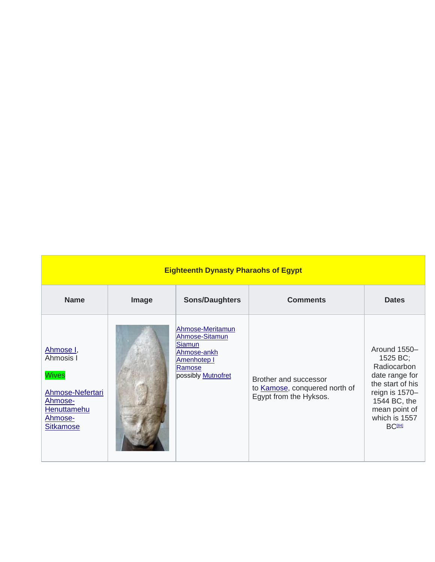| <b>Eighteenth Dynasty Pharaohs of Egypt</b>                                                                         |       |                                                                                                                          |                                                                                  |                                                                                                                                                                               |  |  |  |
|---------------------------------------------------------------------------------------------------------------------|-------|--------------------------------------------------------------------------------------------------------------------------|----------------------------------------------------------------------------------|-------------------------------------------------------------------------------------------------------------------------------------------------------------------------------|--|--|--|
| <b>Name</b>                                                                                                         | Image | <b>Sons/Daughters</b>                                                                                                    | <b>Comments</b>                                                                  | <b>Dates</b>                                                                                                                                                                  |  |  |  |
| Ahmose I,<br>Ahmosis I<br><b>Wives</b><br>Ahmose-Nefertari<br>Ahmose-<br>Henuttamehu<br>Ahmose-<br><b>Sitkamose</b> |       | Ahmose-Meritamun<br>Ahmose-Sitamun<br><b>Siamun</b><br>Ahmose-ankh<br>Amenhotep I<br>Ramose<br>possibly <b>Mutnofret</b> | Brother and successor<br>to Kamose, conquered north of<br>Egypt from the Hyksos. | Around 1550-<br>1525 BC;<br>Radiocarbon<br>date range for<br>the start of his<br>reign is 1570-<br>1544 BC, the<br>mean point of<br>which is 1557<br><b>BC<sup>[84]</sup></b> |  |  |  |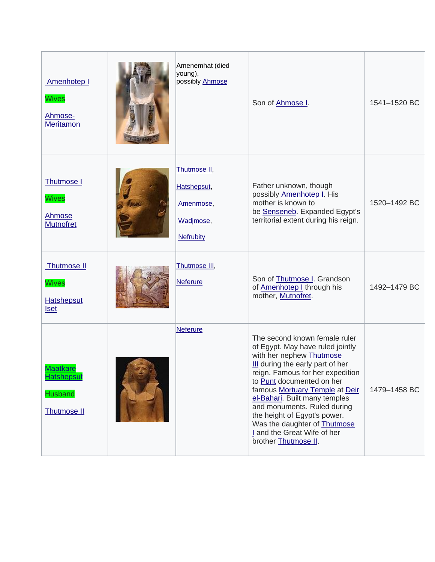| Amenhotep I<br><b>Wives</b><br>Ahmose-<br>Meritamon                          | Amenemhat (died<br>young),<br>possibly Ahmose                             | Son of Ahmose I.                                                                                                                                                                                                                                                                                                                                                                                                                   | 1541-1520 BC |
|------------------------------------------------------------------------------|---------------------------------------------------------------------------|------------------------------------------------------------------------------------------------------------------------------------------------------------------------------------------------------------------------------------------------------------------------------------------------------------------------------------------------------------------------------------------------------------------------------------|--------------|
| Thutmose I<br><b>Wives</b><br><b>Ahmose</b><br><b>Mutnofret</b>              | Thutmose II,<br>Hatshepsut,<br>Amenmose,<br>Wadjmose,<br><b>Nefrubity</b> | Father unknown, though<br>possibly Amenhotep I. His<br>mother is known to<br>be Senseneb. Expanded Egypt's<br>territorial extent during his reign.                                                                                                                                                                                                                                                                                 | 1520-1492 BC |
| Thutmose II<br><b>Wives</b><br><b>Hatshepsut</b><br><b>Iset</b>              | Thutmose III,<br><b>Neferure</b>                                          | Son of Thutmose I. Grandson<br>of <b>Amenhotep I</b> through his<br>mother, Mutnofret.                                                                                                                                                                                                                                                                                                                                             | 1492-1479 BC |
| <b>Maatkare</b><br><b>Hatshepsut</b><br><b>Husband</b><br><b>Thutmose II</b> | <b>Neferure</b>                                                           | The second known female ruler<br>of Egypt. May have ruled jointly<br>with her nephew Thutmose<br>III during the early part of her<br>reign. Famous for her expedition<br>to Punt documented on her<br>famous Mortuary Temple at Deir<br>el-Bahari. Built many temples<br>and monuments. Ruled during<br>the height of Egypt's power.<br>Was the daughter of <b>Thutmose</b><br>I and the Great Wife of her<br>brother Thutmose II. | 1479-1458 BC |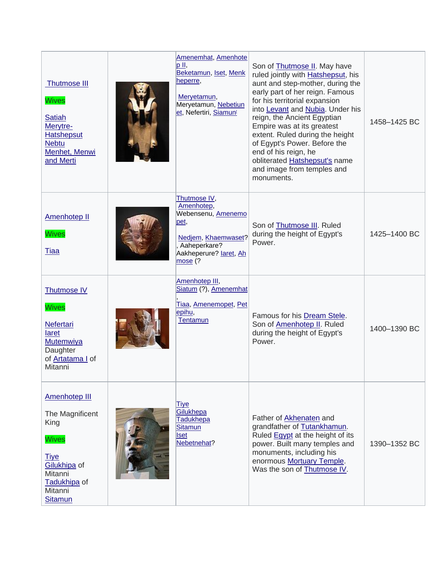| <b>Thutmose III</b><br><b>Wives</b><br><b>Satiah</b><br>Merytre-<br><b>Hatshepsut</b><br><b>Nebtu</b><br>Menhet, Menwi<br>and Merti                    | Amenemhat, Amenhote<br>p II,<br>Beketamun, Iset, Menk<br>heperre,<br>Meryetamun,<br>Meryetamun, Nebetiun<br>et, Nefertiri, Siamun <sup>i</sup> | Son of <b>Thutmose II</b> . May have<br>ruled jointly with <b>Hatshepsut</b> , his<br>aunt and step-mother, during the<br>early part of her reign. Famous<br>for his territorial expansion<br>into Levant and Nubia. Under his<br>reign, the Ancient Egyptian<br>Empire was at its greatest<br>extent. Ruled during the height<br>of Egypt's Power. Before the<br>end of his reign, he<br>obliterated <b>Hatshepsut's</b> name<br>and image from temples and<br>monuments. | 1458-1425 BC |
|--------------------------------------------------------------------------------------------------------------------------------------------------------|------------------------------------------------------------------------------------------------------------------------------------------------|----------------------------------------------------------------------------------------------------------------------------------------------------------------------------------------------------------------------------------------------------------------------------------------------------------------------------------------------------------------------------------------------------------------------------------------------------------------------------|--------------|
| <b>Amenhotep II</b><br><b>Wives</b><br><u>Tiaa</u>                                                                                                     | Thutmose IV,<br>Amenhotep,<br>Webensenu, Amenemo<br><u>pet,</u><br>Nedjem, Khaemwaset?<br>Aaheperkare?<br>Aakheperure? laret, Ah<br>mose (?    | Son of Thutmose III. Ruled<br>during the height of Egypt's<br>Power.                                                                                                                                                                                                                                                                                                                                                                                                       | 1425-1400 BC |
| <b>Thutmose IV</b><br><b>Wives</b><br><b>Nefertari</b><br><b>laret</b><br><b>Mutemwiya</b><br>Daughter<br>of <b>Artatama</b> I of<br>Mitanni           | Amenhotep III,<br>Siatum (?), Amenemhat<br>Tiaa, Amenemopet, Pet<br>epihu,<br><b>Tentamun</b>                                                  | Famous for his Dream Stele.<br>Son of Amenhotep II. Ruled<br>during the height of Egypt's<br>Power.                                                                                                                                                                                                                                                                                                                                                                        | 1400-1390 BC |
| <b>Amenhotep III</b><br>The Magnificent<br>King<br><b>Wives</b><br><b>Tiye</b><br>Gilukhipa of<br>Mitanni<br>Tadukhipa of<br>Mitanni<br><b>Sitamun</b> | Tiye<br>Gilukhepa<br><b>Tadukhepa</b><br>Sitamun<br><b>Iset</b><br>Nebetnehat?                                                                 | Father of <b>Akhenaten</b> and<br>grandfather of Tutankhamun.<br>Ruled Egypt at the height of its<br>power. Built many temples and<br>monuments, including his<br>enormous Mortuary Temple.<br>Was the son of Thutmose IV.                                                                                                                                                                                                                                                 | 1390-1352 BC |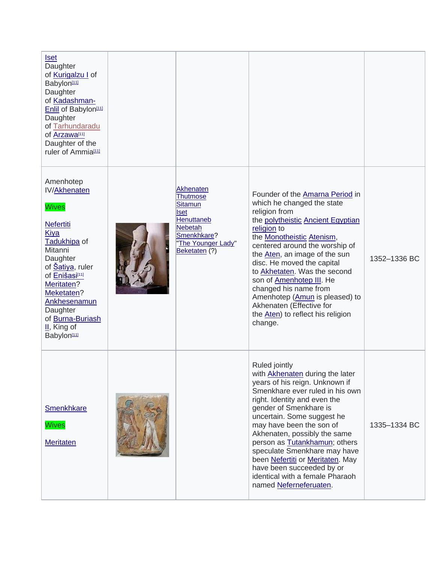| <u>Iset</u><br>Daughter<br>of Kurigalzu I of<br>Babylon <sup>111</sup><br>Daughter<br>of Kadashman-<br>Enlil of Babylon <sup>[11]</sup><br>Daughter<br>of Tarhundaradu<br>of Arzawa[11]<br>Daughter of the<br>ruler of Ammia[11]                                                                            |                                                                                                                                                            |                                                                                                                                                                                                                                                                                                                                                                                                                                                                                 |              |
|-------------------------------------------------------------------------------------------------------------------------------------------------------------------------------------------------------------------------------------------------------------------------------------------------------------|------------------------------------------------------------------------------------------------------------------------------------------------------------|---------------------------------------------------------------------------------------------------------------------------------------------------------------------------------------------------------------------------------------------------------------------------------------------------------------------------------------------------------------------------------------------------------------------------------------------------------------------------------|--------------|
| Amenhotep<br><b>IV/Akhenaten</b><br><b>Wives</b><br><b>Nefertiti</b><br><b>Kiya</b><br>Tadukhipa of<br>Mitanni<br>Daughter<br>of <b>Satiya</b> , ruler<br>of Enišasi <sup>[11]</sup><br>Meritaten?<br>Meketaten?<br>Ankhesenamun<br>Daughter<br>of Burna-Buriash<br>$II,$ King of<br>Babylon <sup>111</sup> | Akhenaten<br><b>Thutmose</b><br><b>Sitamun</b><br><b>Iset</b><br><b>Henuttaneb</b><br><b>Nebetah</b><br>Smenkhkare?<br>'The Younger Lady"<br>Beketaten (?) | Founder of the Amarna Period in<br>which he changed the state<br>religion from<br>the polytheistic Ancient Egyptian<br>religion to<br>the <b>Monotheistic</b> Atenism,<br>centered around the worship of<br>the Aten, an image of the sun<br>disc. He moved the capital<br>to Akhetaten. Was the second<br>son of Amenhotep III. He<br>changed his name from<br>Amenhotep (Amun is pleased) to<br>Akhenaten (Effective for<br>the Aten) to reflect his religion<br>change.      | 1352-1336 BC |
| <b>Smenkhkare</b><br><b>Wives</b><br><b>Meritaten</b>                                                                                                                                                                                                                                                       |                                                                                                                                                            | Ruled jointly<br>with <b>Akhenaten</b> during the later<br>years of his reign. Unknown if<br>Smenkhare ever ruled in his own<br>right. Identity and even the<br>gender of Smenkhare is<br>uncertain. Some suggest he<br>may have been the son of<br>Akhenaten, possibly the same<br>person as Tutankhamun; others<br>speculate Smenkhare may have<br>been Nefertiti or Meritaten. May<br>have been succeeded by or<br>identical with a female Pharaoh<br>named Neferneferuaten. | 1335-1334 BC |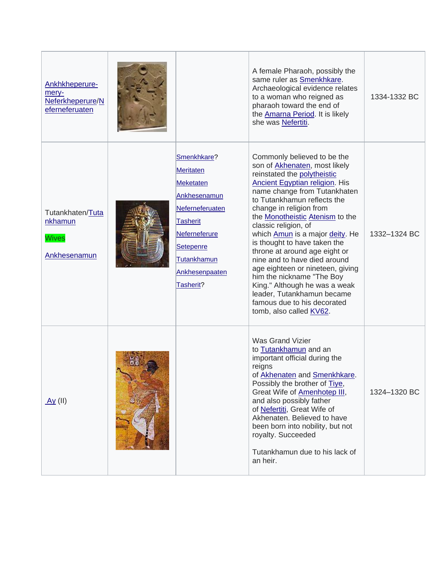| Ankhkheperure-<br>mery-<br>Neferkheperure/N<br>eferneferuaten |                                                                                                                                                                                       | A female Pharaoh, possibly the<br>same ruler as Smenkhkare.<br>Archaeological evidence relates<br>to a woman who reigned as<br>pharaoh toward the end of<br>the <b>Amarna Period</b> . It is likely<br>she was Nefertiti.                                                                                                                                                                                                                                                                                                                                                                                                              | 1334-1332 BC |
|---------------------------------------------------------------|---------------------------------------------------------------------------------------------------------------------------------------------------------------------------------------|----------------------------------------------------------------------------------------------------------------------------------------------------------------------------------------------------------------------------------------------------------------------------------------------------------------------------------------------------------------------------------------------------------------------------------------------------------------------------------------------------------------------------------------------------------------------------------------------------------------------------------------|--------------|
| Tutankhaten/Tuta<br>nkhamun<br><b>Wives</b><br>Ankhesenamun   | Smenkhkare?<br><b>Meritaten</b><br>Meketaten<br>Ankhesenamun<br>Neferneferuaten<br><b>Tasherit</b><br>Neferneferure<br>Setepenre<br><b>Tutankhamun</b><br>Ankhesenpaaten<br>Tasherit? | Commonly believed to be the<br>son of <b>Akhenaten</b> , most likely<br>reinstated the polytheistic<br><b>Ancient Egyptian religion.</b> His<br>name change from Tutankhaten<br>to Tutankhamun reflects the<br>change in religion from<br>the <b>Monotheistic Atenism</b> to the<br>classic religion, of<br>which Amun is a major deity. He<br>is thought to have taken the<br>throne at around age eight or<br>nine and to have died around<br>age eighteen or nineteen, giving<br>him the nickname "The Boy<br>King." Although he was a weak<br>leader, Tutankhamun became<br>famous due to his decorated<br>tomb, also called KV62. | 1332-1324 BC |
| <u>Ay</u> (II)                                                |                                                                                                                                                                                       | <b>Was Grand Vizier</b><br>to Tutankhamun and an<br>important official during the<br>reigns<br>of Akhenaten and Smenkhkare.<br>Possibly the brother of Tiye,<br>Great Wife of <b>Amenhotep III</b> ,<br>and also possibly father<br>of Nefertiti, Great Wife of<br>Akhenaten. Believed to have<br>been born into nobility, but not<br>royalty. Succeeded<br>Tutankhamun due to his lack of<br>an heir.                                                                                                                                                                                                                                 | 1324-1320 BC |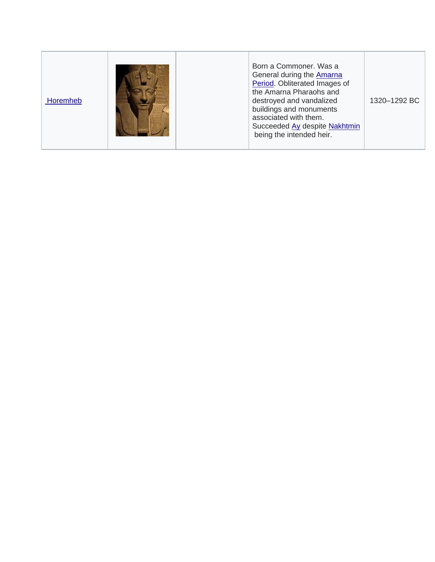| Horemheb | Born a Commoner, Was a<br>General during the <b>Amarna</b><br>Period. Obliterated Images of<br>the Amarna Pharaohs and<br>destroyed and vandalized<br>buildings and monuments<br>associated with them.<br>Succeeded Ay despite Nakhtmin<br>being the intended heir. | 1320-1292 BC |
|----------|---------------------------------------------------------------------------------------------------------------------------------------------------------------------------------------------------------------------------------------------------------------------|--------------|
|----------|---------------------------------------------------------------------------------------------------------------------------------------------------------------------------------------------------------------------------------------------------------------------|--------------|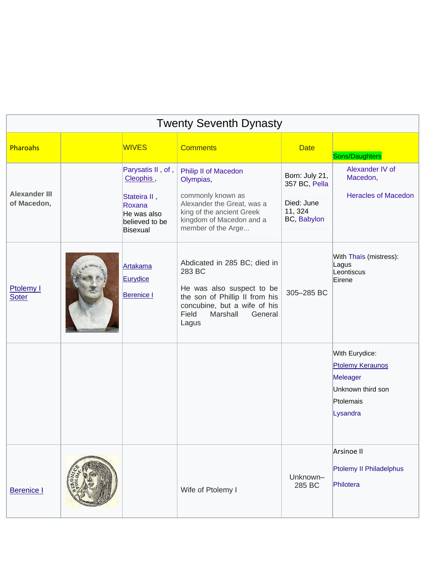|                                     |                                                                                                       | <b>Twenty Seventh Dynasty</b>                                                                                                                                                  |                                                                         |                                                                                                     |
|-------------------------------------|-------------------------------------------------------------------------------------------------------|--------------------------------------------------------------------------------------------------------------------------------------------------------------------------------|-------------------------------------------------------------------------|-----------------------------------------------------------------------------------------------------|
| Pharoahs                            | <b>WIVES</b>                                                                                          | <b>Comments</b>                                                                                                                                                                | <b>Date</b>                                                             | Sons/Daughters                                                                                      |
| <b>Alexander III</b><br>of Macedon, | Parysatis II, of,<br>Cleophis,<br>Stateira II,<br>Roxana<br>He was also<br>believed to be<br>Bisexual | Philip II of Macedon<br>Olympias,<br>commonly known as<br>Alexander the Great, was a<br>king of the ancient Greek<br>kingdom of Macedon and a<br>member of the Arge            | Born: July 21,<br>357 BC, Pella<br>Died: June<br>11, 324<br>BC, Babylon | Alexander IV of<br>Macedon,<br><b>Heracles of Macedon</b>                                           |
| Ptolemy I<br><b>Soter</b>           | Artakama<br>Eurydice<br><b>Berenice I</b>                                                             | Abdicated in 285 BC; died in<br>283 BC<br>He was also suspect to be<br>the son of Phillip II from his<br>concubine, but a wife of his<br>Field<br>Marshall<br>General<br>Lagus | 305-285 BC                                                              | With Thaïs (mistress):<br>Lagus<br>Leontiscus<br>Eirene                                             |
|                                     |                                                                                                       |                                                                                                                                                                                |                                                                         | With Eurydice:<br><b>Ptolemy Keraunos</b><br>Meleager<br>Unknown third son<br>Ptolemais<br>Lysandra |
| <b>Berenice I</b>                   |                                                                                                       | Wife of Ptolemy I                                                                                                                                                              | Unknown-<br>285 BC                                                      | Arsinoe II<br>Ptolemy II Philadelphus<br>Philotera                                                  |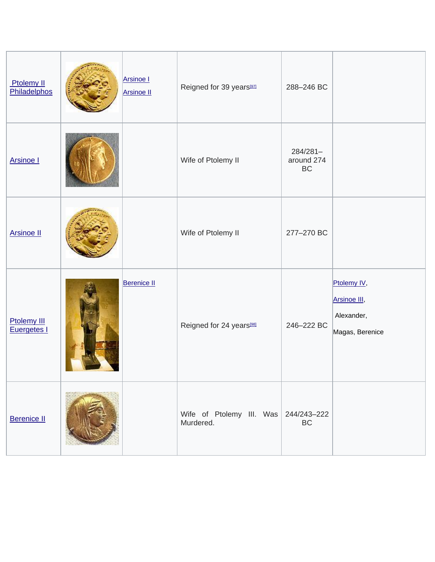| Ptolemy II<br>Philadelphos        | <b>Arsinoe I</b><br><b>Arsinoe II</b> | Reigned for 39 years <sup>[97]</sup>                | 288-246 BC                   |                                                              |
|-----------------------------------|---------------------------------------|-----------------------------------------------------|------------------------------|--------------------------------------------------------------|
| <b>Arsinoe I</b>                  |                                       | Wife of Ptolemy II                                  | 284/281-<br>around 274<br>BC |                                                              |
| <b>Arsinoe II</b>                 |                                       | Wife of Ptolemy II                                  | 277-270 BC                   |                                                              |
| <b>Ptolemy III</b><br>Euergetes I | <b>Berenice II</b>                    | Reigned for 24 years <sup>[98]</sup>                | 246-222 BC                   | Ptolemy IV,<br>Arsinoe III,<br>Alexander,<br>Magas, Berenice |
| <b>Berenice II</b>                |                                       | Wife of Ptolemy III. Was $244/243-222$<br>Murdered. | BC                           |                                                              |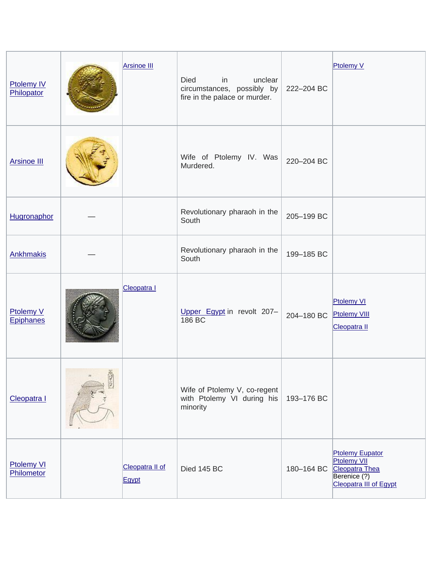| <b>Ptolemy IV</b><br>Philopator      |              | <b>Arsinoe III</b>       | Died<br>in<br>unclear<br>circumstances, possibly by<br>fire in the palace or murder. | 222-204 BC | Ptolemy V                                                                                                |
|--------------------------------------|--------------|--------------------------|--------------------------------------------------------------------------------------|------------|----------------------------------------------------------------------------------------------------------|
| <b>Arsinoe III</b>                   |              |                          | Wife of Ptolemy IV. Was<br>Murdered.                                                 | 220-204 BC |                                                                                                          |
| Hugronaphor                          |              |                          | Revolutionary pharaoh in the<br>South                                                | 205-199 BC |                                                                                                          |
| <b>Ankhmakis</b>                     |              |                          | Revolutionary pharaoh in the<br>South                                                | 199-185 BC |                                                                                                          |
| <b>Ptolemy V</b><br><b>Epiphanes</b> |              | Cleopatra I              | Upper Egypt in revolt 207-<br>186 BC                                                 | 204-180 BC | <b>Ptolemy VI</b><br><b>Ptolemy VIII</b><br>Cleopatra II                                                 |
| Cleopatra I                          | <b>STAGE</b> |                          | Wife of Ptolemy V, co-regent<br>with Ptolemy VI during his<br>minority               | 193-176 BC |                                                                                                          |
| <b>Ptolemy VI</b><br>Philometor      |              | Cleopatra II of<br>Egypt | Died 145 BC                                                                          | 180-164 BC | <b>Ptolemy Eupator</b><br><b>Ptolemy VII</b><br>Cleopatra Thea<br>Berenice (?)<br>Cleopatra III of Egypt |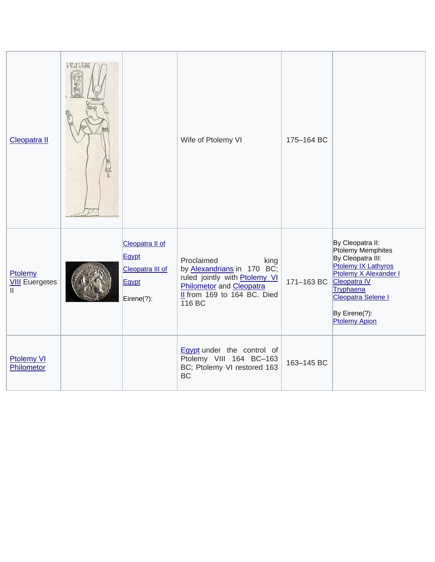| Cleopatra II                          | 1840 [三<br>뵦 |                                                                     | Wife of Ptolemy VI                                                                                                                                     | 175-164 BC |                                                                                                                                                                                                        |
|---------------------------------------|--------------|---------------------------------------------------------------------|--------------------------------------------------------------------------------------------------------------------------------------------------------|------------|--------------------------------------------------------------------------------------------------------------------------------------------------------------------------------------------------------|
| Ptolemy<br><b>VIII</b> Euergetes<br>Ш |              | Cleopatra II of<br>Egypt<br>Cleopatra III of<br>Egypt<br>Eirene(?): | Proclaimed<br>king<br>by Alexandrians in 170 BC;<br>ruled jointly with Ptolemy VI<br>Philometor and Cleopatra<br>Il from 169 to 164 BC. Died<br>116 BC | 171-163 BC | By Cleopatra II:<br>Ptolemy Memphites<br>By Cleopatra III:<br>Ptolemy IX Lathyros<br>Ptolemy X Alexander I<br>Cleopatra IV<br>Tryphaena<br>Cleopatra Selene I<br>By Eirene(?):<br><b>Ptolemy Apion</b> |
| <b>Ptolemy VI</b><br>Philometor       |              |                                                                     | <b>Egypt</b> under the control of<br>Ptolemy VIII 164 BC-163<br>BC; Ptolemy VI restored 163<br><b>BC</b>                                               | 163-145 BC |                                                                                                                                                                                                        |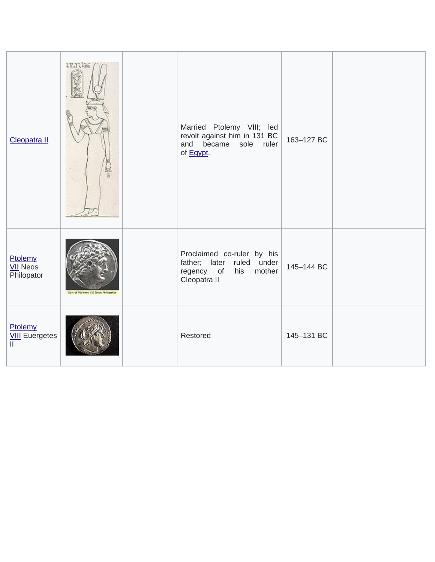| Cleopatra II                             | 1870 课<br>铽                        | Married Ptolemy VIII; led<br>revolt against him in 131 BC<br>and became sole ruler<br>of Egypt.        | 163-127 BC |  |
|------------------------------------------|------------------------------------|--------------------------------------------------------------------------------------------------------|------------|--|
| Ptolemy<br><b>VII</b> Neos<br>Philopator | Com of Plokeny VII Ness Philopator | Proclaimed co-ruler by his<br>father; later ruled under<br>mother<br>regency of<br>his<br>Cleopatra II | 145-144 BC |  |
| Ptolemy<br><b>VIII</b> Euergetes         |                                    | Restored                                                                                               | 145-131 BC |  |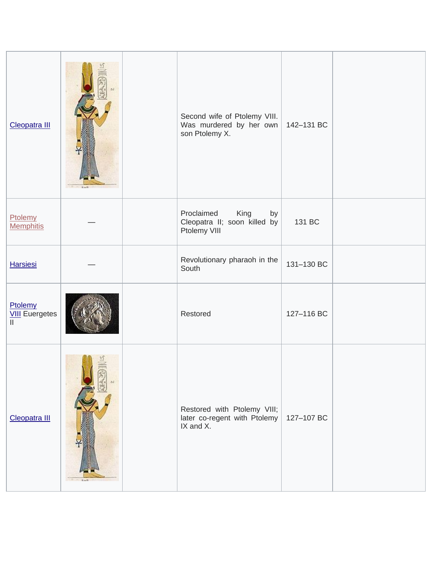| Cleopatra III                    | <b>Karl</b> | Second wife of Ptolemy VIII.<br>Was murdered by her own<br>son Ptolemy X. | 142-131 BC |  |
|----------------------------------|-------------|---------------------------------------------------------------------------|------------|--|
| Ptolemy<br><b>Memphitis</b>      |             | Proclaimed<br>King<br>by<br>Cleopatra II; soon killed by<br>Ptolemy VIII  | 131 BC     |  |
| <b>Harsiesi</b>                  |             | Revolutionary pharaoh in the<br>South                                     | 131-130 BC |  |
| Ptolemy<br><b>VIII</b> Euergetes |             | Restored                                                                  | 127-116 BC |  |
| Cleopatra III                    | Karl 1      | Restored with Ptolemy VIII;<br>later co-regent with Ptolemy<br>IX and X.  | 127-107 BC |  |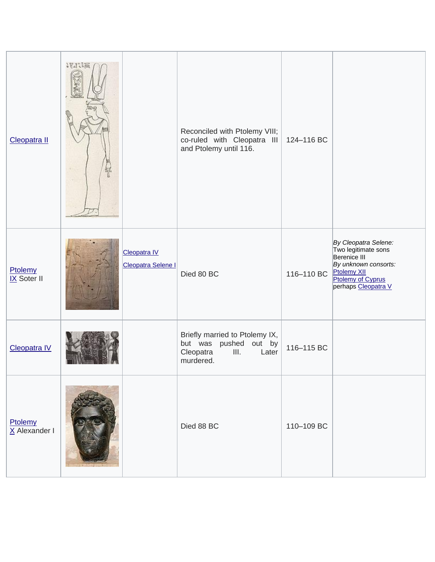| Cleopatra II               | 184.1篇 |                                  | Reconciled with Ptolemy VIII;<br>co-ruled with Cleopatra III<br>and Ptolemy until 116.             | 124-116 BC |                                                                                                                                                |
|----------------------------|--------|----------------------------------|----------------------------------------------------------------------------------------------------|------------|------------------------------------------------------------------------------------------------------------------------------------------------|
| Ptolemy<br>IX Soter II     |        | Cleopatra IV<br>Cleopatra Selene | Died 80 BC                                                                                         | 116-110 BC | By Cleopatra Selene:<br>Two legitimate sons<br>Berenice III<br>By unknown consorts:<br>Ptolemy XII<br>Ptolemy of Cyprus<br>perhaps Cleopatra V |
| Cleopatra IV               |        |                                  | Briefly married to Ptolemy IX,<br>but was pushed out by<br>III.<br>Cleopatra<br>Later<br>murdered. | 116-115 BC |                                                                                                                                                |
| Ptolemy<br>$X$ Alexander I |        |                                  | Died 88 BC                                                                                         | 110-109 BC |                                                                                                                                                |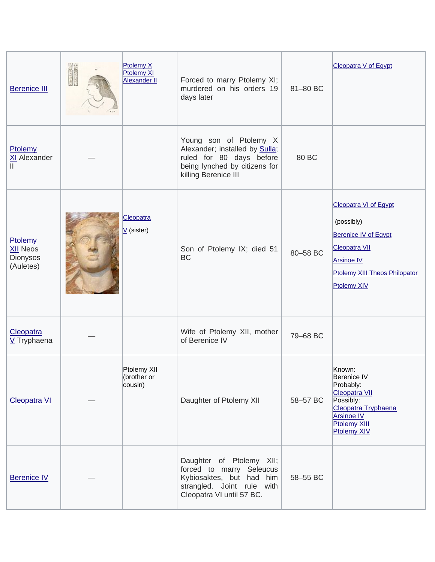| <b>Berenice III</b>                                 | Ptolemy X<br><b>Ptolemy XI</b><br><b>Alexander II</b> | Forced to marry Ptolemy XI;<br>murdered on his orders 19<br>days later                                                                                | 81-80 BC | <b>Cleopatra V of Egypt</b>                                                                                                                                            |
|-----------------------------------------------------|-------------------------------------------------------|-------------------------------------------------------------------------------------------------------------------------------------------------------|----------|------------------------------------------------------------------------------------------------------------------------------------------------------------------------|
| Ptolemy<br>XI Alexander<br>II.                      |                                                       | Young son of Ptolemy X<br>Alexander; installed by <b>Sulla</b> ;<br>ruled for 80 days before<br>being lynched by citizens for<br>killing Berenice III | 80 BC    |                                                                                                                                                                        |
| Ptolemy<br><b>XII Neos</b><br>Dionysos<br>(Auletes) | Cleopatra<br>$V$ (sister)                             | Son of Ptolemy IX; died 51<br><b>BC</b>                                                                                                               | 80-58 BC | <b>Cleopatra VI of Egypt</b><br>(possibly)<br>Berenice IV of Egypt<br><b>Cleopatra VII</b><br><b>Arsinoe IV</b><br>Ptolemy XIII Theos Philopator<br><b>Ptolemy XIV</b> |
| Cleopatra<br>V Tryphaena                            |                                                       | Wife of Ptolemy XII, mother<br>of Berenice IV                                                                                                         | 79-68 BC |                                                                                                                                                                        |
| <b>Cleopatra VI</b>                                 | Ptolemy XII<br>(brother or<br>cousin)                 | Daughter of Ptolemy XII                                                                                                                               | 58-57 BC | Known:<br>Berenice IV<br>Probably:<br>Cleopatra VII<br>Possibly:<br>Cleopatra Tryphaena<br><b>Arsinoe IV</b><br>Ptolemy XIII<br><b>Ptolemy XIV</b>                     |
| <b>Berenice IV</b>                                  |                                                       | Daughter of Ptolemy XII;<br>forced to marry Seleucus<br>Kybiosaktes, but had him<br>strangled. Joint rule with<br>Cleopatra VI until 57 BC.           | 58-55 BC |                                                                                                                                                                        |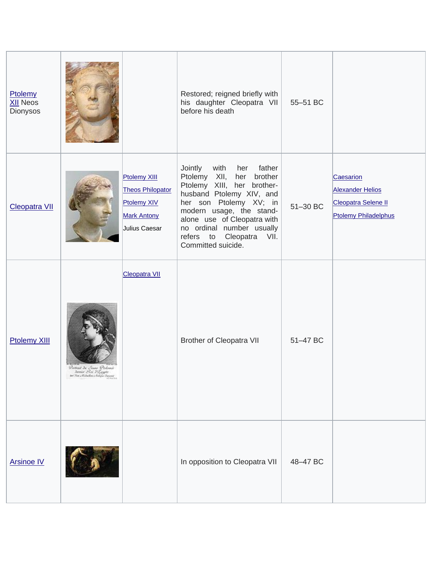| Ptolemy<br><b>XII Neos</b><br>Dionysos |                                                                                                           |                                                                                                      | Restored; reigned briefly with<br>his daughter Cleopatra VII<br>before his death                                                                                                                                                                                                        | 55-51 BC |                                                                                     |
|----------------------------------------|-----------------------------------------------------------------------------------------------------------|------------------------------------------------------------------------------------------------------|-----------------------------------------------------------------------------------------------------------------------------------------------------------------------------------------------------------------------------------------------------------------------------------------|----------|-------------------------------------------------------------------------------------|
| <b>Cleopatra VII</b>                   |                                                                                                           | <b>Ptolemy XIII</b><br><b>Theos Philopator</b><br>Ptolemy XIV<br><b>Mark Antony</b><br>Julius Caesar | Jointly<br>with her father<br>Ptolemy XII, her brother<br>Ptolemy XIII, her brother-<br>husband Ptolemy XIV, and<br>her son Ptolemy XV; in<br>modern usage, the stand-<br>alone use of Cleopatra with<br>no ordinal number usually<br>refers to Cleopatra<br>VII.<br>Committed suicide. | 51-30 BC | Caesarion<br><b>Alexander Helios</b><br>Cleopatra Selene II<br>Ptolemy Philadelphus |
| <b>Ptolemy XIII</b>                    | District In Some De<br>scenari en Roi Vilagger<br>Tarnier Roi Vilagger<br>sui Vin Alisakon chonga tarneet | <b>Cleopatra VII</b>                                                                                 | <b>Brother of Cleopatra VII</b>                                                                                                                                                                                                                                                         | 51-47 BC |                                                                                     |
| <b>Arsinoe IV</b>                      |                                                                                                           |                                                                                                      | In opposition to Cleopatra VII                                                                                                                                                                                                                                                          | 48-47 BC |                                                                                     |